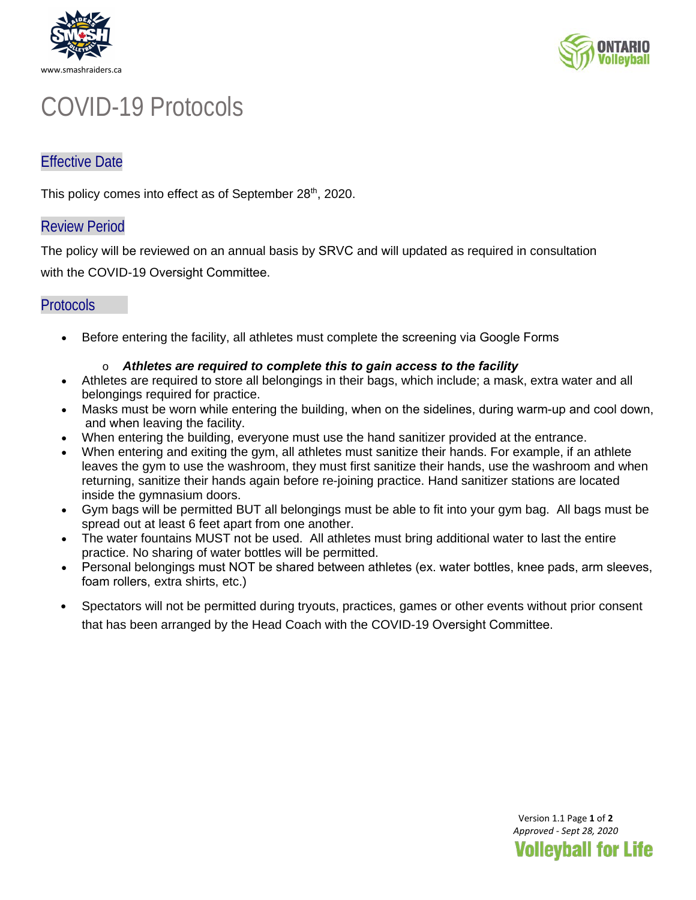



# COVID-19 Protocols

## Effective Date

This policy comes into effect as of September 28<sup>th</sup>, 2020.

### Review Period

The policy will be reviewed on an annual basis by SRVC and will updated as required in consultation

with the COVID-19 Oversight Committee.

### **Protocols**

• Before entering the facility, all athletes must complete the screening via Google Forms

#### o *Athletes are required to complete this to gain access to the facility*

- Athletes are required to store all belongings in their bags, which include; a mask, extra water and all belongings required for practice.
- Masks must be worn while entering the building, when on the sidelines, during warm-up and cool down, and when leaving the facility.
- When entering the building, everyone must use the hand sanitizer provided at the entrance.
- When entering and exiting the gym, all athletes must sanitize their hands. For example, if an athlete leaves the gym to use the washroom, they must first sanitize their hands, use the washroom and when returning, sanitize their hands again before re-joining practice. Hand sanitizer stations are located inside the gymnasium doors.
- Gym bags will be permitted BUT all belongings must be able to fit into your gym bag. All bags must be spread out at least 6 feet apart from one another.
- The water fountains MUST not be used. All athletes must bring additional water to last the entire practice. No sharing of water bottles will be permitted.
- Personal belongings must NOT be shared between athletes (ex. water bottles, knee pads, arm sleeves, foam rollers, extra shirts, etc.)
- Spectators will not be permitted during tryouts, practices, games or other events without prior consent that has been arranged by the Head Coach with the COVID-19 Oversight Committee.